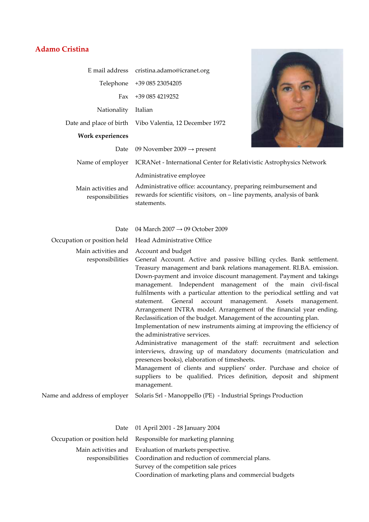## **Adamo Cristina**

|                                         | E mail address cristina.adamo@icranet.org                                                                                                                                          |
|-----------------------------------------|------------------------------------------------------------------------------------------------------------------------------------------------------------------------------------|
|                                         | Telephone +39 085 23054205                                                                                                                                                         |
| Fax                                     | +39 085 4219252                                                                                                                                                                    |
| Nationality                             | Italian                                                                                                                                                                            |
|                                         | Date and place of birth Vibo Valentia, 12 December 1972                                                                                                                            |
| <b>Work experiences</b>                 |                                                                                                                                                                                    |
| Date                                    | 09 November 2009 $\rightarrow$ present                                                                                                                                             |
| Name of employer                        | ICRANet - International Center for Relativistic Astrophysics Network                                                                                                               |
| Main activities and<br>responsibilities | Administrative employee<br>Administrative office: accountancy, preparing reimbursement and<br>rewards for scientific visitors, on – line payments, analysis of bank<br>statements. |
| Date                                    | 04 March 2007 $\rightarrow$ 09 October 2009                                                                                                                                        |
| Occupation or position held             | Head Administrative Office                                                                                                                                                         |
| Main activities and<br>responsibilities | Account and budget<br>General Account. Active and passive billing cycles. Bank settlement.<br>Treasury management and bank relations management. RI.BA. emission.                  |

Down-payment and invoice discount management. Payment and takings management. Independent management of the main civil-fiscal fulfilments with a particular attention to the periodical settling and vat statement. General account management. Assets management. Arrangement INTRA model. Arrangement of the financial year ending. Reclassification of the budget. Management of the accounting plan.

Implementation of new instruments aiming at improving the efficiency of the administrative services.

Administrative management of the staff: recruitment and selection interviews, drawing up of mandatory documents (matriculation and presences books), elaboration of timesheets.

Management of clients and suppliers' order. Purchase and choice of suppliers to be qualified. Prices definition, deposit and shipment management.

Name and address of employer Solaris Srl - Manoppello (PE) - Industrial Springs Production

| Date 01 April 2001 - 28 January 2004                             |
|------------------------------------------------------------------|
| Occupation or position held Responsible for marketing planning   |
| Main activities and Evaluation of markets perspective.           |
| responsibilities Coordination and reduction of commercial plans. |
| Survey of the competition sale prices                            |
| Coordination of marketing plans and commercial budgets           |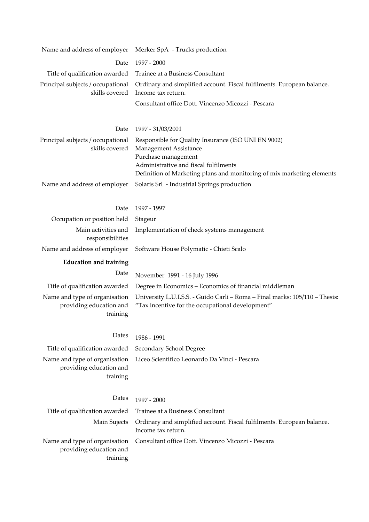| Name and address of employer                                         | Merker SpA - Trucks production                                                                                                                                                                                         |
|----------------------------------------------------------------------|------------------------------------------------------------------------------------------------------------------------------------------------------------------------------------------------------------------------|
| Date                                                                 | 1997 - 2000                                                                                                                                                                                                            |
| Title of qualification awarded                                       | Trainee at a Business Consultant                                                                                                                                                                                       |
| Principal subjects / occupational<br>skills covered                  | Ordinary and simplified account. Fiscal fulfilments. European balance.<br>Income tax return.                                                                                                                           |
|                                                                      | Consultant office Dott. Vincenzo Micozzi - Pescara                                                                                                                                                                     |
| Date                                                                 | 1997 - 31/03/2001                                                                                                                                                                                                      |
| Principal subjects / occupational<br>skills covered                  | Responsible for Quality Insurance (ISO UNI EN 9002)<br>Management Assistance<br>Purchase management<br>Administrative and fiscal fulfilments<br>Definition of Marketing plans and monitoring of mix marketing elements |
| Name and address of employer                                         | Solaris Srl - Industrial Springs production                                                                                                                                                                            |
| Date                                                                 | 1997 - 1997                                                                                                                                                                                                            |
| Occupation or position held                                          | Stageur                                                                                                                                                                                                                |
| Main activities and<br>responsibilities                              | Implementation of check systems management                                                                                                                                                                             |
| Name and address of employer                                         | Software House Polymatic - Chieti Scalo                                                                                                                                                                                |
|                                                                      |                                                                                                                                                                                                                        |
| <b>Education and training</b>                                        |                                                                                                                                                                                                                        |
| Date                                                                 | November 1991 - 16 July 1996                                                                                                                                                                                           |
| Title of qualification awarded                                       | Degree in Economics – Economics of financial middleman                                                                                                                                                                 |
| Name and type of organisation<br>providing education and<br>training | University L.U.I.S.S. - Guido Carli - Roma - Final marks: 105/110 - Thesis:<br>"Tax incentive for the occupational development"                                                                                        |
| Dates                                                                | 1986 - 1991                                                                                                                                                                                                            |
| Title of qualification awarded                                       | Secondary School Degree                                                                                                                                                                                                |
| Name and type of organisation<br>providing education and<br>training | Liceo Scientifico Leonardo Da Vinci - Pescara                                                                                                                                                                          |
| Dates                                                                | 1997 - 2000                                                                                                                                                                                                            |
| Title of qualification awarded                                       | Trainee at a Business Consultant                                                                                                                                                                                       |
| Main Sujects                                                         | Ordinary and simplified account. Fiscal fulfilments. European balance.<br>Income tax return.                                                                                                                           |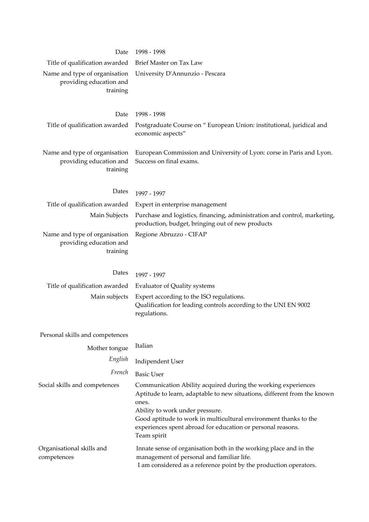| Date                                                                 | 1998 - 1998                                                                                                                                                                                |
|----------------------------------------------------------------------|--------------------------------------------------------------------------------------------------------------------------------------------------------------------------------------------|
| Title of qualification awarded                                       | Brief Master on Tax Law                                                                                                                                                                    |
| Name and type of organisation<br>providing education and<br>training | University D'Annunzio - Pescara                                                                                                                                                            |
| Date                                                                 | 1998 - 1998                                                                                                                                                                                |
| Title of qualification awarded                                       | Postgraduate Course on " European Union: institutional, juridical and<br>economic aspects"                                                                                                 |
| Name and type of organisation<br>providing education and<br>training | European Commission and University of Lyon: corse in Paris and Lyon.<br>Success on final exams.                                                                                            |
| Dates                                                                | 1997 - 1997                                                                                                                                                                                |
| Title of qualification awarded                                       | Expert in enterprise management                                                                                                                                                            |
| Main Subjects                                                        | Purchase and logistics, financing, administration and control, marketing,<br>production, budget, bringing out of new products                                                              |
| Name and type of organisation<br>providing education and<br>training | Regione Abruzzo - CIFAP                                                                                                                                                                    |
|                                                                      |                                                                                                                                                                                            |
| Dates                                                                | 1997 - 1997                                                                                                                                                                                |
| Title of qualification awarded                                       | <b>Evaluator of Quality systems</b>                                                                                                                                                        |
| Main subjects                                                        | Expert according to the ISO regulations.<br>Qualification for leading controls according to the UNI EN 9002<br>regulations.                                                                |
| Personal skills and competences                                      |                                                                                                                                                                                            |
| Mother tongue                                                        | Italian                                                                                                                                                                                    |
| English                                                              | Indipendent User                                                                                                                                                                           |
| French                                                               | <b>Basic User</b>                                                                                                                                                                          |
| Social skills and competences                                        | Communication Ability acquired during the working experiences<br>Aptitude to learn, adaptable to new situations, different from the known                                                  |
|                                                                      | ones.<br>Ability to work under pressure.<br>Good aptitude to work in multicultural environment thanks to the<br>experiences spent abroad for education or personal reasons.<br>Team spirit |